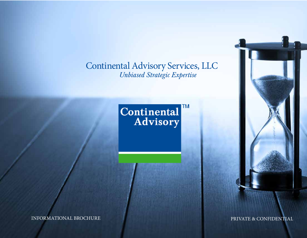Continental Advisory Services, LLC  *Unbiased Strategic Expertise*

# **Continental**

INFORMATIONAL BROCHURE PRIVATE & CONFIDENTIAL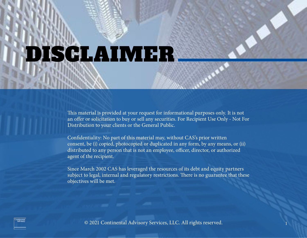### DISCLAIMER

This material is provided at your request for informational purposes only. It is not an offer or solicitation to buy or sell any securities. For Recipient Use Only - Not For Distribution to your clients or the General Public.

Confidentiality: No part of this material may, without CAS's prior written consent, be (i) copied, photocopied or duplicated in any form, by any means, or (ii) distributed to any person that is not an employee, officer, director, or authorized agent of the recipient.

Since March 2002 CAS has leveraged the resources of its debt and equity partners subject to legal, internal and regulatory restrictions. There is no guarantee that these objectives will be met.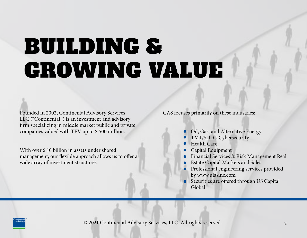### BUILDING & GROWING VALUE

Founded in 2002, Continental Advisory Services LLC ("Continental") is an investment and advisory firm specializing in middle market public and private companies valued with TEV up to \$ 500 million.

With over \$ 10 billion in assets under shared management, our flexible approach allows us to offer a wide array of investment structures.

CAS focuses primarily on these industries:

- **Oil, Gas, and Alternative Energy**
- TMT/SDLC-Cybersecurity
- **Health Care**
- **Capital Equipment**
- Financial Services & Risk Management Real
- Estate Capital Markets and Sales
- **•** Professional engineering services provided by www.ulasinc.com
- Securities are offered through US Capital Global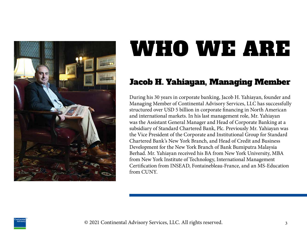

### Jacob H. Yahiayan, Managing Member

During his 30 years in corporate banking, Jacob H. Yahiayan, founder and Managing Member of Continental Advisory Services, LLC has successfully structured over USD 5 billion in corporate financing in North American and international markets. In his last management role, Mr. Yahiayan was the Assistant General Manager and Head of Corporate Banking at a subsidiary of Standard Chartered Bank, Plc. Previously Mr. Yahiayan was the Vice President of the Corporate and Institutional Group for Standard Chartered Bank's New York Branch, and Head of Credit and Business Development for the New York Branch of Bank Bumiputra Malaysia Berhad. Mr. Yahiayan received his BA from New York University, MBA from New York Institute of Technology, International Management Certification from INSEAD, Fontainebleau-France, and an MS-Education from CUNY.

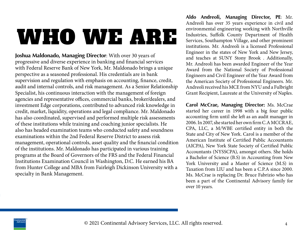**Joshua Maldonado, Managing Director**: With over 30 years of progressive and diverse experience in banking and financial services with Federal Reserve Bank of New York, Mr. Maldonado brings a unique perspective as a seasoned professional. His credentials are in bank supervision and regulation with emphasis on accounting, finance, credit, audit and internal controls, and risk management. As a Senior Relationship Specialist, his continuous interaction with the management of foreign agencies and representative offices, commercial banks, broker/dealers, and investment Edge corporations, contributed to advanced risk knowledge in credit, market, liquidity, operations and legal compliance. Mr. Maldonado has also coordinated, supervised and performed multiple risk assessments of these institutions while training and coaching junior specialists. He also has headed examination teams who conducted safety and soundness examinations within the 2nd Federal Reserve District to assess risk management, operational controls, asset quality and the financial condition of the institutions. Mr. Maldonado has participated in various training programs at the Board of Governors of the FRS and the Federal Financial Institutions Examination Council in Washington, D.C. He earned his BA from Hunter College and MBA from Fairleigh Dickinson University with a specialty in Bank Management.

**Aldo Andreoli, Managing Director, PE**: Mr. Andreoli has over 35 years experience in civil and environmental engineering working with Northville Industries, Suffolk County Department of Health Services, Southampton Village, and other prominent institutions. Mr. Andreoli is a licensed Professional Engineer in the states of New York and New Jersey, and teaches at SUNY Stony Brook . Additionally, Mr. Andreoli has been awarded Engineer of the Year Award from the National Society of Professional Engineers and Civil Engineer of the Year Award from the American Society of Professional Engineers. Mr. Andreoli received his MCE from NYU and a Fulbright Grant Recipient, Laureate at the University of Naples.

**Carol McCrae, Managing Director:** Ms. McCrae started her career in 1998 with a big four public accounting firm until she left as an audit manager in 2006. In 2007, she started her own firm C.A MCCRAE, CPA, LLC, a M/WBE certified entity in both the State and City of New York. Carol is a member of the American Institute of Certified Public Accountants (AICPA), New York State Society of Certified Public Accountants (NYSSCPA), amongst others. She holds a Bachelor of Science (B.S) in Accounting from New York University and a Master of Science (M.S) in Taxation from LIU and has been a C.P.A since 2000. Ms. McCrae is replacing Dr. Bruce Fabrizio who has been a part of the Continental Advisory family for over 10 years.

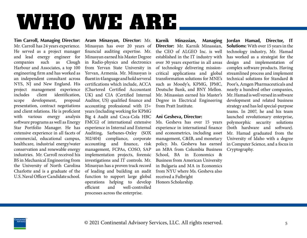**Tim Carroll, Managing Director:** Mr. Carroll has 24 years experience. He served as a project manager and lead energy engineer for companies such as Clough Harbour and Associates, a top 100 engineering firm and has worked as an independent consultant across NYS, NJ and New England. His project management experience includes client identification, scope development, proposal presentation, contract negotiations and client relations. He is proficient with various energy analysis software programs as well as Energy Star Portfolio Manager. He has extensive experience in all facets of commercial, educational campus, healthcare, industrial energy/water conservation and renewable energy industries. Mr. Carroll received his BS in Mechanical Engineering from the University of North Carolina Charlotte and is a graduate of the U.S. Naval Officer Candidate school.

**Aram Minasyan, Director:** Mr. Minasyan has over 20 years of financial auditing expertise. Mr. Minasyan earned his Master Degree in Radio-physics and electronics from Yervan State University in Yervan, Armenia. Mr. Minasyan is fluent in 4 language and hold serveral certifications which include, ACCA (Chartered Certified Accountant UK) and CIA (Certified Internal Auditor, US) qualified finance and accounting professional with 15+ years (including working for KPMG Big 4 Audit and Coca-Cola HBC FMCG) of international extensive experience in Internal and External Auditing, Sarbanes-Oxley (SOX 302/404) compliance, corporate accounting and finance, risk management, FCPAs, COSO, SAP implementation projects, forensic investigations and IT controls. Mr. Minasyan has a proven track record of leading and building an audit function to support large global operations helping to develop efficient and well-controlled processes across the enterprise.

**Karnik Minassian, Managing Director:** Mr. Karnik Minassian, the CEO of ALGEO Inc. is well established in the IT industry with over 30 years expertise in all areas of technology delivering missioncritical applications and global transformation solutions for MNE's such as Moody's, KPMG, JPMC, Deutsche Bank, and BNY Mellon. Mr. Minassian earned his Master's Degree in Electrical Engineering from Pratt Institute.

#### **Ani Gesheva, Director:**

Ms. Gesheva has over 15 years experience in international finance and econometrics, including asset management, C&IB, and monetary policy. Ms. Gesheva has earned an MBA from Columbia Business School, BA in Economics & Business from American University in Bulgaria and MA in Economics from NYU where Ms. Gesheva also received a Fulbright Honors Scholarship.

**Jordan Hamad, Director, IT Solutions:** With over 15 years in the technology industry, Mr. Hamad has worked as a strategist for the design and implementation of complex software products. Having streamlined process and implement technical solutions for Standard & Poor's, Amgen Pharmaceuticals and nearly a hundred other companies, Mr. Hamad is well versed in software development and related business strategy and has led special-purpose teams. In 2007, he and his team launched revolutionary enterprise, polymorphic security solutions (both hardware and software). Mr. Hamad graduated from the University of Idaho with a degree in Computer Science, and a focus in Cryptography.

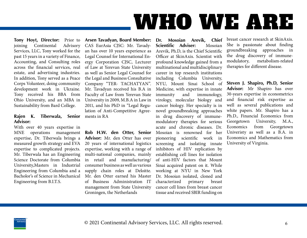**Tony Hoyt, Director:** Prior to ioining Continental Advisory joining Continental Services, LLC, Tony worked for the past 15 years in a variety of Finance, Accounting, and Consulting roles across the financial services, real estate, and advertising industries. In addition, Tony served as a Peace Corps Volunteer, doing community development work in Ukraine. Tony received his BBA from Ohio University, and an MBA in Sustainability from Bard College.

#### **Rajen K. Tiberwala, Senior Advisor:**

With over 40 years expertise in MNE operations management expertise, Dr. Tiberwala brings a measured growth strategy and EVA expertise to complicated projects. Mr. Tiberwala has an Engineering Science Doctorate from Columbia University,Masters in Industrial Engineering from Columbia and a Bacholor's of Science in Mechanical Engineering from B.I.T.S.

**Arsen Tavadyan, Board Member:**  CAS EurAsia CJSC: Mr. Tavadyan has over 10 years experience as Legal Counsel for International Energy Corporation CJSC, Lecturer of Law at Yerevan State University as well as Senior Legal Counsel for the Legal and Business Consultative Company "TER- TACHATYAN". Mr. Tavadyan received his B.A in Faculty of Law from Yerevan State University in 2009, M.B.A in Law in 2011, and his PhD in "Legal Regulation of Anti-Competitive Agreements in RA

**Rob H.W. den Otter, Senior Advisor:** Mr. den Otter has over 20 years of international logistics expertise, working with a range of multi-national companies, mainly in retail and manufacturing/ consumer business as well as various supply chain roles at Deloitte. Mr. den Otter earned his Master of Business Administration IT management from State University Groningen, the Netherlands

**Dr. Mosoian Arevik, Chief Scientific Adviser:** Mosoian Arevik, Ph.D, is the Chief Scientific Officer at SkinAxis. Scientist with profound knowledge gained from a multinational and multidisciplinary career in top research institutions including Columbia University, NYU, Mount Sinai School of Medicine, with expertise in innate immunity and immunology, virology, molecular biology and cancer biology. Her specialty is in novel groundbreaking approaches in drug discovery of immunemodulatory therapies for serious acute and chronic diseases. Dr. Mosoian is renowned for her pioneering scientific work in screening and isolating innate inhibitors of HIV replication by establishing cell lines for isolation of anti-HIV factors that Mount Sinai acquired patent on it. While working at NYU in New York Dr. Mosoian isolated, cloned and characterized primary breast cancer cell lines from breast cancer tissue and received SBIR funding on

breast cancer research at SkinAxis. She is passionate about finding groundbreaking approaches in the drug discovery of immune-<br>modulatory, metabolism-related metabolism-related therapies for different disease.

**Steven J. Shapiro, Ph.D, Senior Advisor:** Mr Shapiro has over 30-years expertise in econometrics and financial risk expertise as well as several publications and white papers. Mr. Shapiro has a Ph.D., Financial Economics from Georgetown University, M.A., Economics from Georgetown Univeristy as well as a B.A. in Economics and Mathematics from University of Virginia.

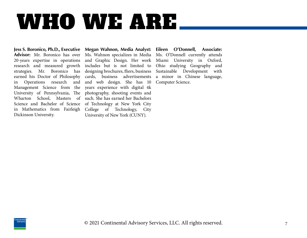**Advisor:** Mr. Boronico has over 20-years expertise in operations research and measured growth strategies. Mr. Boronico has earned his Doctor of Philosophy in Operations research and and web design. She has 10 Management Science from the University of Pennsylvania, The photography, shooting events and Wharton School, Masters of such. She has earned her Bachelors Science and Bachelor of Science of Technology at New York City in Mathematics from Fairleigh College of Technology, City Dickinson University.

**Jess S. Boronico, Ph.D., Executive Megan Wahnon, Media Analyst:** Ms. Wahnon specializes in Media and Graphic Design. Her work includes but is not limited to designing brochures, fliers, business cards, business advertisements years experience with digital 4k University of New York (CUNY).

**Eileen O'Donnell, Associate:**  Ms. O'Donnell currently attends Miami University in Oxford, Ohio studying Geography and Sustainable Development with a minor in Chinese language, Computer Science.

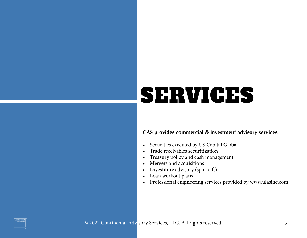### SERVICES

#### **CAS provides commercial & investment advisory services:**

- Securities executed by US Capital Global
- Trade receivables securitization
- Treasury policy and cash management
- Mergers and acquisitions
- Divestiture advisory (spin-offs)
- Loan workout plans
- Professional engineering services provided by www.ulasinc.com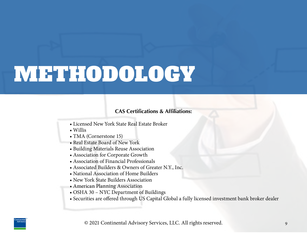### METHODOLOGY

#### **CAS Certifications & Affiliations:**

- Licensed New York State Real Estate Broker
- Willis
- TMA (Cornerstone 15)
- Real Estate Board of New York
- Building Materials Reuse Association
- Association for Corporate Growth
- Association of Financial Professionals
- Associated Builders & Owners of Greater N.Y., Inc.
- National Association of Home Builders
- New York State Builders Association
- American Planning Association
- OSHA 30 NYC Department of Buildings
- Securities are offered through US Capital Global a fully licensed investment bank broker dealer

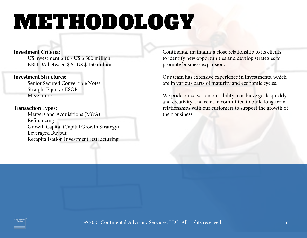### METHODOLOGY

#### **Investment Criteria:**

US investment \$ 10 - US \$ 500 million EBITDA between \$ 5 -US \$ 150 million

#### **Investment Structures:**

Senior Secured Convertible Notes Straight Equity / ESOP Mezzanine

#### **Transaction Types:**

Mergers and Acquisitions (M&A) Refinancing Growth Capital (Capital Growth Strategy) Leveraged Buyout Recapitalization Investment restructuring

Continental maintains a close relationship to its clients to identify new opportunities and develop strategies to promote business expansion.

Our team has extensive experience in investments, which are in various parts of maturity and economic cycles.

We pride ourselves on our ability to achieve goals quickly and creativity, and remain committed to build long-term relationships with our customers to support the growth of their business.

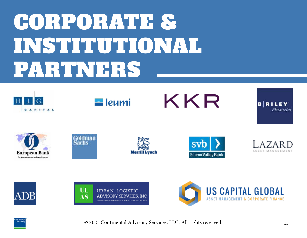### CORPORATE & INSTITUTIONAL PARTNERS



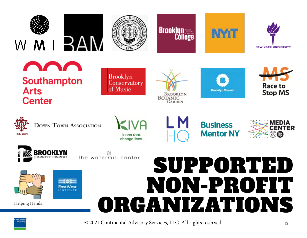

**DOWN TOWN ASSOCIATION** 

loans that change lives



**Business Mentor NY** 





W the watermill center



Helping Hands

### SUPPORTED NON-PROFIT ORGANIZATIONS

**EST. 1859**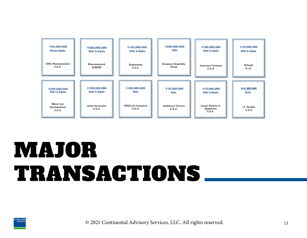

### MAJOR TRANSACTIONS